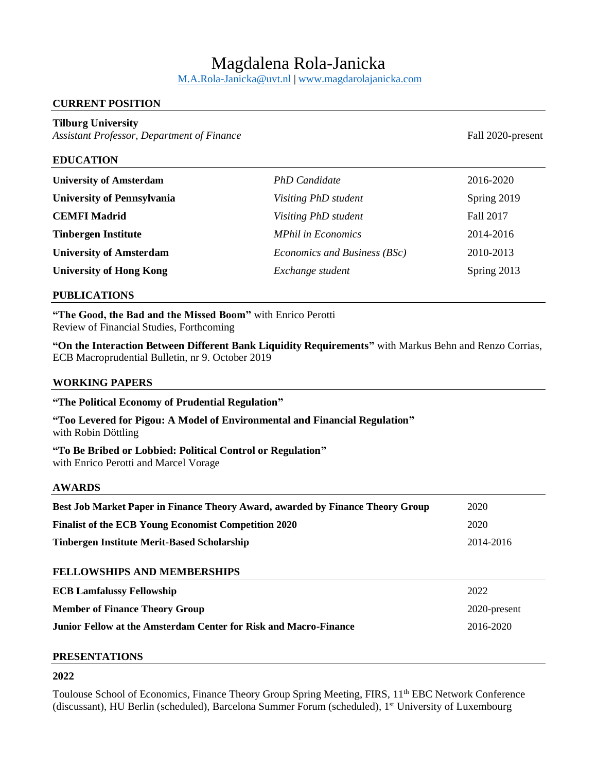# Magdalena Rola-Janicka

[M.A.Rola-Janicka@uvt.nl](mailto:M.A.Rola-Janicka@uvt.nl) | [www.magdarolajanicka.com](http://www.magdarolajanicka.com/)

# **CURRENT POSITION**

# **Tilburg University**

*Assistant Professor, Department of Finance* Fall 2020-present

## **EDUCATION**

| <b>University of Amsterdam</b>    | <b>PhD</b> Candidate         | 2016-2020   |
|-----------------------------------|------------------------------|-------------|
| <b>University of Pennsylvania</b> | Visiting PhD student         | Spring 2019 |
| <b>CEMFI Madrid</b>               | Visiting PhD student         | Fall 2017   |
| <b>Tinbergen Institute</b>        | <b>MPhil in Economics</b>    | 2014-2016   |
| <b>University of Amsterdam</b>    | Economics and Business (BSc) | 2010-2013   |
| <b>University of Hong Kong</b>    | Exchange student             | Spring 2013 |

#### **PUBLICATIONS**

**"The Good, the Bad and the Missed Boom"** with Enrico Perotti Review of Financial Studies, Forthcoming

**"On the Interaction Between Different Bank Liquidity Requirements"** with Markus Behn and Renzo Corrias, ECB Macroprudential Bulletin, nr 9. October 2019

#### **WORKING PAPERS**

| "The Political Economy of Prudential Regulation"                                                    |              |  |  |
|-----------------------------------------------------------------------------------------------------|--------------|--|--|
| "Too Levered for Pigou: A Model of Environmental and Financial Regulation"<br>with Robin Döttling   |              |  |  |
| "To Be Bribed or Lobbied: Political Control or Regulation"<br>with Enrico Perotti and Marcel Vorage |              |  |  |
| <b>AWARDS</b>                                                                                       |              |  |  |
| Best Job Market Paper in Finance Theory Award, awarded by Finance Theory Group                      | 2020         |  |  |
| <b>Finalist of the ECB Young Economist Competition 2020</b>                                         | 2020         |  |  |
| <b>Tinbergen Institute Merit-Based Scholarship</b>                                                  | 2014-2016    |  |  |
| <b>FELLOWSHIPS AND MEMBERSHIPS</b>                                                                  |              |  |  |
| <b>ECB Lamfalussy Fellowship</b>                                                                    | 2022         |  |  |
| <b>Member of Finance Theory Group</b>                                                               | 2020-present |  |  |
| Junior Fellow at the Amsterdam Center for Risk and Macro-Finance                                    | 2016-2020    |  |  |

#### **PRESENTATIONS**

# **2022**

Toulouse School of Economics, Finance Theory Group Spring Meeting, FIRS, 11<sup>th</sup> EBC Network Conference (discussant), HU Berlin (scheduled), Barcelona Summer Forum (scheduled), 1st University of Luxembourg